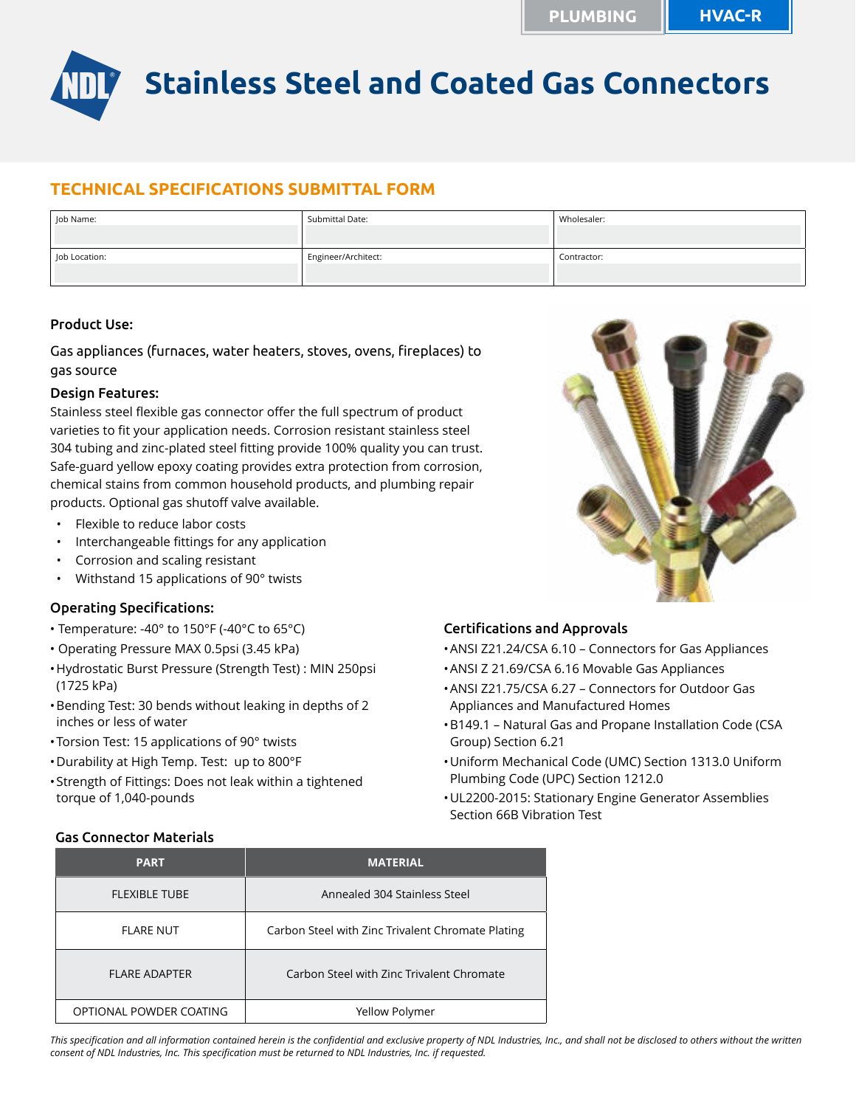

# **TECHNICAL SPECIFICATIONS SUBMITTAL FORM**

| Job Name:     | Submittal Date:     | Wholesaler: |
|---------------|---------------------|-------------|
| Job Location: | Engineer/Architect: | Contractor: |

## Product Use:

Gas appliances (furnaces, water heaters, stoves, ovens, fireplaces) to gas source

#### Design Features:

Stainless steel flexible gas connector offer the full spectrum of product varieties to fit your application needs. Corrosion resistant stainless steel 304 tubing and zinc-plated steel fitting provide 100% quality you can trust. Safe-guard yellow epoxy coating provides extra protection from corrosion, chemical stains from common household products, and plumbing repair products. Optional gas shutoff valve available.

- Flexible to reduce labor costs
- Interchangeable fittings for any application
- Corrosion and scaling resistant
- Withstand 15 applications of 90° twists

#### Operating Specifications:

- Temperature: -40° to 150°F (-40°C to 65°C)
- Operating Pressure MAX 0.5psi (3.45 kPa)
- •Hydrostatic Burst Pressure (Strength Test) : MIN 250psi (1725 kPa)
- •Bending Test: 30 bends without leaking in depths of 2 inches or less of water
- •Torsion Test: 15 applications of 90° twists
- •Durability at High Temp. Test: up to 800°F
- •Strength of Fittings: Does not leak within a tightened torque of 1,040-pounds

#### Certifications and Approvals

- •ANSI Z21.24/CSA 6.10 Connectors for Gas Appliances
- •ANSI Z 21.69/CSA 6.16 Movable Gas Appliances
- •ANSI Z21.75/CSA 6.27 Connectors for Outdoor Gas Appliances and Manufactured Homes
- •B149.1 Natural Gas and Propane Installation Code (CSA Group) Section 6.21
- •Uniform Mechanical Code (UMC) Section 1313.0 Uniform Plumbing Code (UPC) Section 1212.0
- •UL2200-2015: Stationary Engine Generator Assemblies Section 66B Vibration Test

| <b>PART</b>             | <b>MATERIAL</b>                                   |  |  |  |  |
|-------------------------|---------------------------------------------------|--|--|--|--|
| <b>FLEXIBLE TUBE</b>    | Annealed 304 Stainless Steel                      |  |  |  |  |
| <b>FLARE NUT</b>        | Carbon Steel with Zinc Trivalent Chromate Plating |  |  |  |  |
| FI ARF ADAPTER          | Carbon Steel with Zinc Trivalent Chromate         |  |  |  |  |
| OPTIONAL POWDER COATING | Yellow Polymer                                    |  |  |  |  |

#### Gas Connector Materials

*This specification and all information contained herein is the confidential and exclusive property of NDL Industries, Inc., and shall not be disclosed to others without the written consent of NDL Industries, Inc. This specification must be returned to NDL Industries, Inc. if requested.*